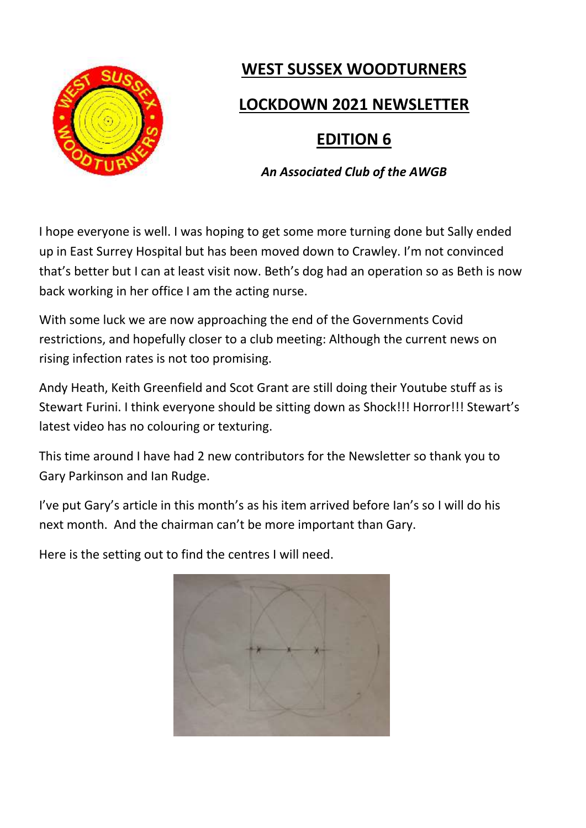

# **WEST SUSSEX WOODTURNERS**

### **LOCKDOWN 2021 NEWSLETTER**

## **EDITION 6**

*An Associated Club of the AWGB*

I hope everyone is well. I was hoping to get some more turning done but Sally ended up in East Surrey Hospital but has been moved down to Crawley. I'm not convinced that's better but I can at least visit now. Beth's dog had an operation so as Beth is now back working in her office I am the acting nurse.

With some luck we are now approaching the end of the Governments Covid restrictions, and hopefully closer to a club meeting: Although the current news on rising infection rates is not too promising.

Andy Heath, Keith Greenfield and Scot Grant are still doing their Youtube stuff as is Stewart Furini. I think everyone should be sitting down as Shock!!! Horror!!! Stewart's latest video has no colouring or texturing.

This time around I have had 2 new contributors for the Newsletter so thank you to Gary Parkinson and Ian Rudge.

I've put Gary's article in this month's as his item arrived before Ian's so I will do his next month. And the chairman can't be more important than Gary.

Here is the setting out to find the centres I will need.

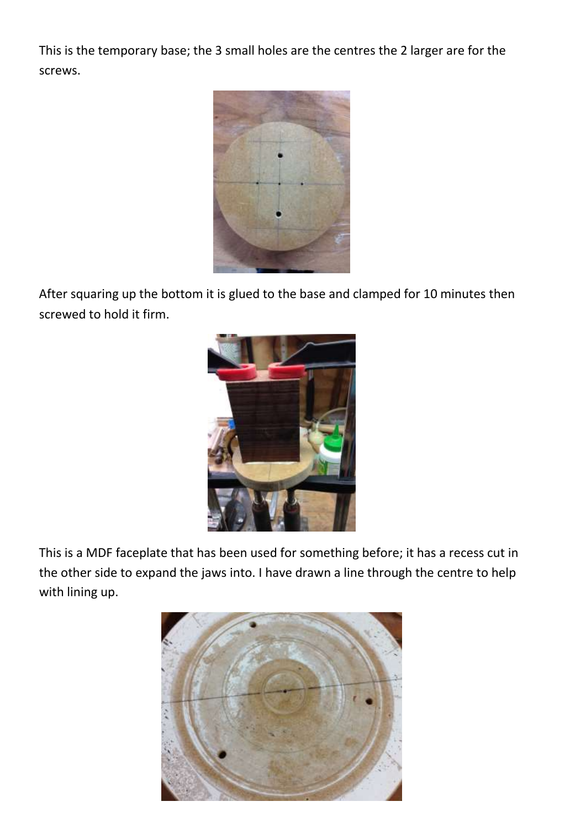This is the temporary base; the 3 small holes are the centres the 2 larger are for the screws.



After squaring up the bottom it is glued to the base and clamped for 10 minutes then screwed to hold it firm.



This is a MDF faceplate that has been used for something before; it has a recess cut in the other side to expand the jaws into. I have drawn a line through the centre to help with lining up.

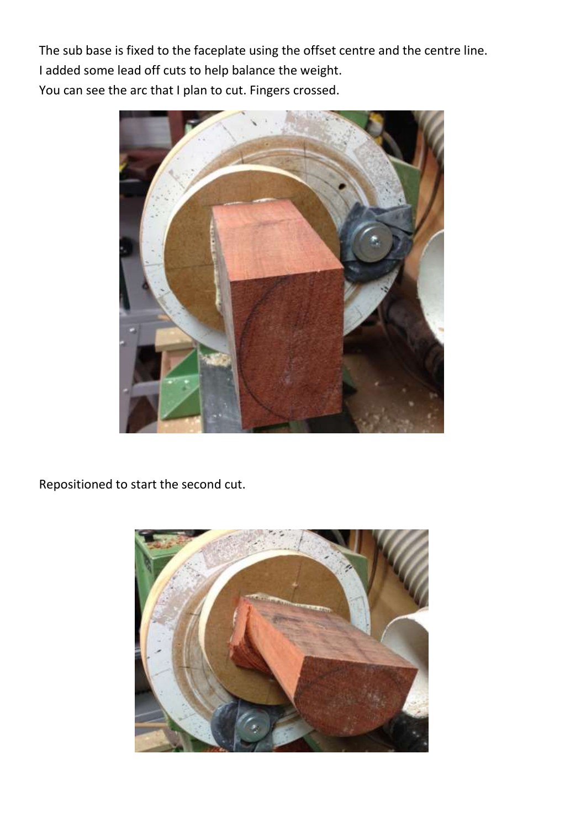The sub base is fixed to the faceplate using the offset centre and the centre line. I added some lead off cuts to help balance the weight. You can see the arc that I plan to cut. Fingers crossed.



Repositioned to start the second cut.

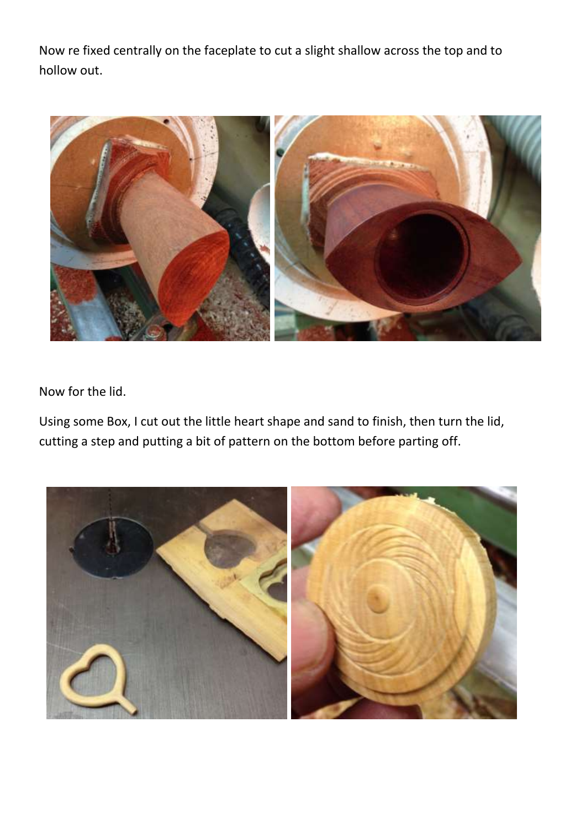Now re fixed centrally on the faceplate to cut a slight shallow across the top and to hollow out.



Now for the lid.

Using some Box, I cut out the little heart shape and sand to finish, then turn the lid, cutting a step and putting a bit of pattern on the bottom before parting off.

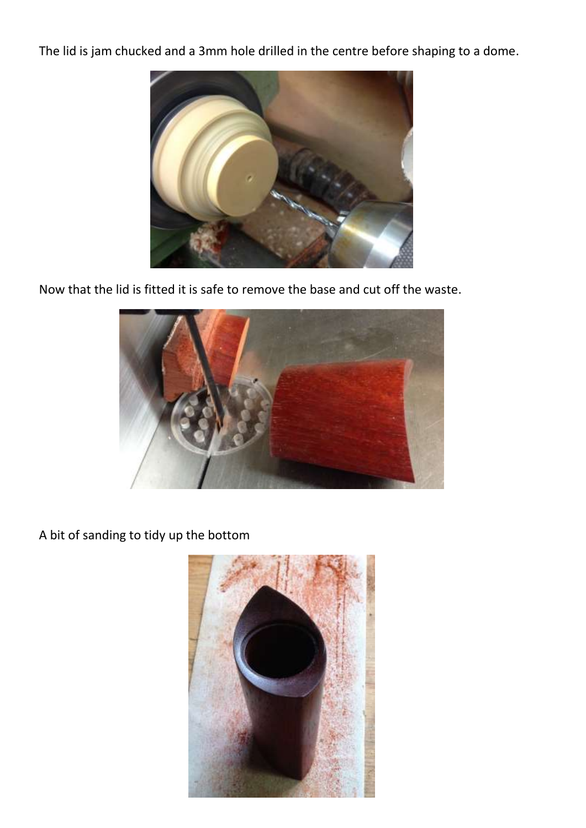The lid is jam chucked and a 3mm hole drilled in the centre before shaping to a dome.



Now that the lid is fitted it is safe to remove the base and cut off the waste.



A bit of sanding to tidy up the bottom